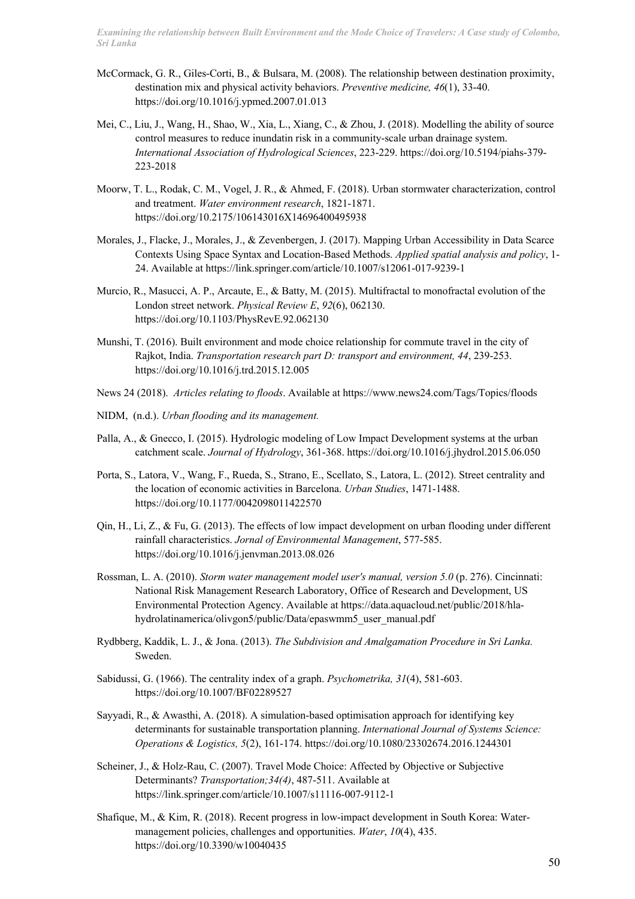*Examining the relationship between Built Environment and the Mode Choice of Travelers: A Case study of Colombo, Sri Lanka*

- McCormack, G. R., Giles-Corti, B., & Bulsara, M. (2008). The relationship between destination proximity, destination mix and physical activity behaviors. *Preventive medicine, 46*(1), 33-40. https://doi.org/10.1016/j.ypmed.2007.01.013
- Mei, C., Liu, J., Wang, H., Shao, W., Xia, L., Xiang, C., & Zhou, J. (2018). Modelling the ability of source control measures to reduce inundatin risk in a community-scale urban drainage system. *International Association of Hydrological Sciences*, 223-229. https://doi.org/10.5194/piahs-379- 223-2018
- Moorw, T. L., Rodak, C. M., Vogel, J. R., & Ahmed, F. (2018). Urban stormwater characterization, control and treatment. *Water environment research*, 1821-1871. https://doi.org/10.2175/106143016X14696400495938
- Morales, J., Flacke, J., Morales, J., & Zevenbergen, J. (2017). Mapping Urban Accessibility in Data Scarce Contexts Using Space Syntax and Location-Based Methods. *Applied spatial analysis and policy*, 1- 24. Available at https://link.springer.com/article/10.1007/s12061-017-9239-1
- Murcio, R., Masucci, A. P., Arcaute, E., & Batty, M. (2015). Multifractal to monofractal evolution of the London street network. *Physical Review E*, *92*(6), 062130. https://doi.org/10.1103/PhysRevE.92.062130
- Munshi, T. (2016). Built environment and mode choice relationship for commute travel in the city of Rajkot, India. *Transportation research part D: transport and environment, 44*, 239-253. https://doi.org/10.1016/j.trd.2015.12.005
- News 24 (2018). *Articles relating to floods*. Available at https://www.news24.com/Tags/Topics/floods
- NIDM, (n.d.). *Urban flooding and its management.*
- Palla, A., & Gnecco, I. (2015). Hydrologic modeling of Low Impact Development systems at the urban catchment scale. *Journal of Hydrology*, 361-368. https://doi.org/10.1016/j.jhydrol.2015.06.050
- Porta, S., Latora, V., Wang, F., Rueda, S., Strano, E., Scellato, S., Latora, L. (2012). Street centrality and the location of economic activities in Barcelona. *Urban Studies*, 1471-1488. https://doi.org/10.1177/0042098011422570
- Qin, H., Li, Z., & Fu, G. (2013). The effects of low impact development on urban flooding under different rainfall characteristics. *Jornal of Environmental Management*, 577-585. https://doi.org/10.1016/j.jenvman.2013.08.026
- Rossman, L. A. (2010). *Storm water management model user's manual, version 5.0* (p. 276). Cincinnati: National Risk Management Research Laboratory, Office of Research and Development, US Environmental Protection Agency. Available at https://data.aquacloud.net/public/2018/hlahydrolatinamerica/olivgon5/public/Data/epaswmm5\_user\_manual.pdf
- Rydbberg, Kaddik, L. J., & Jona. (2013). *The Subdivision and Amalgamation Procedure in Sri Lanka.* Sweden.
- Sabidussi, G. (1966). The centrality index of a graph. *Psychometrika, 31*(4), 581-603. https://doi.org/10.1007/BF02289527
- Sayyadi, R., & Awasthi, A. (2018). A simulation-based optimisation approach for identifying key determinants for sustainable transportation planning. *International Journal of Systems Science: Operations & Logistics, 5*(2), 161-174. https://doi.org/10.1080/23302674.2016.1244301
- Scheiner, J., & Holz-Rau, C. (2007). Travel Mode Choice: Affected by Objective or Subjective Determinants? *Transportation;34(4)*, 487-511. Available at https://link.springer.com/article/10.1007/s11116-007-9112-1
- Shafique, M., & Kim, R. (2018). Recent progress in low-impact development in South Korea: Watermanagement policies, challenges and opportunities. *Water*, *10*(4), 435. https://doi.org/10.3390/w10040435